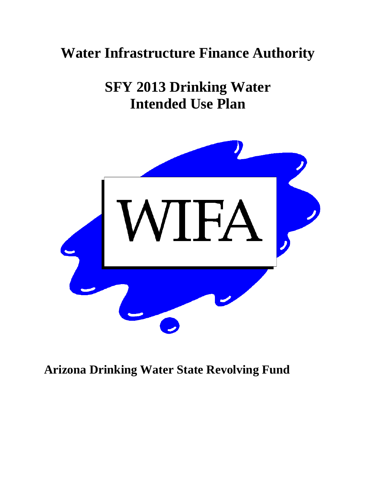# **Water Infrastructure Finance Authority**

**SFY 2013 Drinking Water Intended Use Plan** 



## **Arizona Drinking Water State Revolving Fund**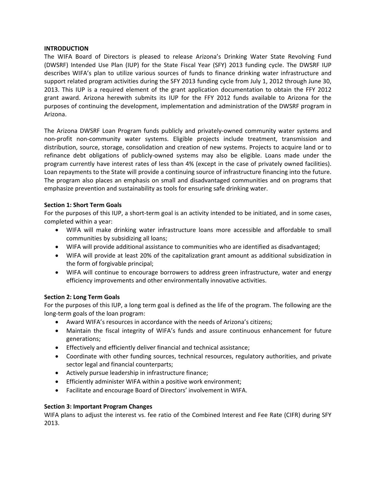#### **INTRODUCTION**

The WIFA Board of Directors is pleased to release Arizona's Drinking Water State Revolving Fund (DWSRF) Intended Use Plan (IUP) for the State Fiscal Year (SFY) 2013 funding cycle. The DWSRF IUP describes WIFA's plan to utilize various sources of funds to finance drinking water infrastructure and support related program activities during the SFY 2013 funding cycle from July 1, 2012 through June 30, 2013. This IUP is a required element of the grant application documentation to obtain the FFY 2012 grant award. Arizona herewith submits its IUP for the FFY 2012 funds available to Arizona for the purposes of continuing the development, implementation and administration of the DWSRF program in Arizona.

The Arizona DWSRF Loan Program funds publicly and privately‐owned community water systems and non‐profit non‐community water systems. Eligible projects include treatment, transmission and distribution, source, storage, consolidation and creation of new systems. Projects to acquire land or to refinance debt obligations of publicly-owned systems may also be eligible. Loans made under the program currently have interest rates of less than 4% (except in the case of privately owned facilities). Loan repayments to the State will provide a continuing source of infrastructure financing into the future. The program also places an emphasis on small and disadvantaged communities and on programs that emphasize prevention and sustainability as tools for ensuring safe drinking water.

#### **Section 1: Short Term Goals**

For the purposes of this IUP, a short-term goal is an activity intended to be initiated, and in some cases, completed within a year:

- WIFA will make drinking water infrastructure loans more accessible and affordable to small communities by subsidizing all loans;
- WIFA will provide additional assistance to communities who are identified as disadvantaged;
- WIFA will provide at least 20% of the capitalization grant amount as additional subsidization in the form of forgivable principal;
- WIFA will continue to encourage borrowers to address green infrastructure, water and energy efficiency improvements and other environmentally innovative activities.

#### **Section 2: Long Term Goals**

For the purposes of this IUP, a long term goal is defined as the life of the program. The following are the long‐term goals of the loan program:

- Award WIFA's resources in accordance with the needs of Arizona's citizens;
- Maintain the fiscal integrity of WIFA's funds and assure continuous enhancement for future generations;
- Effectively and efficiently deliver financial and technical assistance;
- Coordinate with other funding sources, technical resources, regulatory authorities, and private sector legal and financial counterparts;
- Actively pursue leadership in infrastructure finance;
- Efficiently administer WIFA within a positive work environment;
- Facilitate and encourage Board of Directors' involvement in WIFA.

#### **Section 3: Important Program Changes**

WIFA plans to adjust the interest vs. fee ratio of the Combined Interest and Fee Rate (CIFR) during SFY 2013.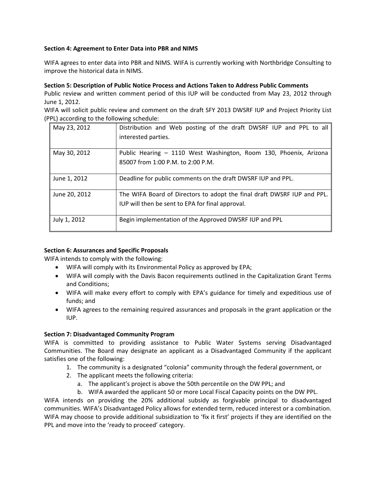#### **Section 4: Agreement to Enter Data into PBR and NIMS**

WIFA agrees to enter data into PBR and NIMS. WIFA is currently working with Northbridge Consulting to improve the historical data in NIMS.

#### **Section 5: Description of Public Notice Process and Actions Taken to Address Public Comments**

Public review and written comment period of this IUP will be conducted from May 23, 2012 through June 1, 2012.

WIFA will solicit public review and comment on the draft SFY 2013 DWSRF IUP and Project Priority List (PPL) according to the following schedule:

| May 23, 2012  | Distribution and Web posting of the draft DWSRF IUP and PPL to all<br>interested parties.                                   |
|---------------|-----------------------------------------------------------------------------------------------------------------------------|
| May 30, 2012  | Public Hearing - 1110 West Washington, Room 130, Phoenix, Arizona<br>85007 from 1:00 P.M. to 2:00 P.M.                      |
| June 1, 2012  | Deadline for public comments on the draft DWSRF IUP and PPL.                                                                |
| June 20, 2012 | The WIFA Board of Directors to adopt the final draft DWSRF IUP and PPL.<br>IUP will then be sent to EPA for final approval. |
| July 1, 2012  | Begin implementation of the Approved DWSRF IUP and PPL                                                                      |

#### **Section 6: Assurances and Specific Proposals**

WIFA intends to comply with the following:

- WIFA will comply with its Environmental Policy as approved by EPA;
- WIFA will comply with the Davis Bacon requirements outlined in the Capitalization Grant Terms and Conditions;
- WIFA will make every effort to comply with EPA's guidance for timely and expeditious use of funds; and
- WIFA agrees to the remaining required assurances and proposals in the grant application or the IUP.

#### **Section 7: Disadvantaged Community Program**

WIFA is committed to providing assistance to Public Water Systems serving Disadvantaged Communities. The Board may designate an applicant as a Disadvantaged Community if the applicant satisfies one of the following:

- 1. The community is a designated "colonia" community through the federal government, or
- 2. The applicant meets the following criteria:
	- a. The applicant's project is above the 50th percentile on the DW PPL; and
	- b. WIFA awarded the applicant 50 or more Local Fiscal Capacity points on the DW PPL.

WIFA intends on providing the 20% additional subsidy as forgivable principal to disadvantaged communities. WIFA's Disadvantaged Policy allows for extended term, reduced interest or a combination. WIFA may choose to provide additional subsidization to 'fix it first' projects if they are identified on the PPL and move into the 'ready to proceed' category.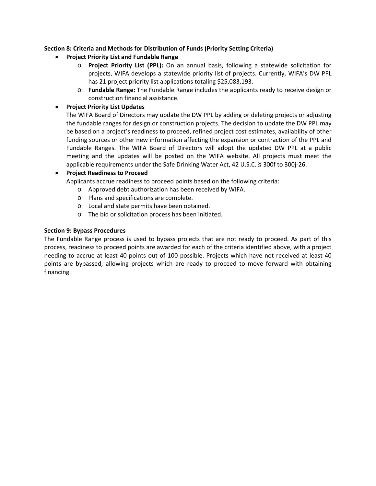#### **Section 8: Criteria and Methods for Distribution of Funds (Priority Setting Criteria)**

- **Project Priority List and Fundable Range**
	- o **Project Priority List (PPL):** On an annual basis, following a statewide solicitation for projects, WIFA develops a statewide priority list of projects. Currently, WIFA's DW PPL has 21 project priority list applications totaling \$25,083,193.
	- o **Fundable Range:** The Fundable Range includes the applicants ready to receive design or construction financial assistance.

#### **Project Priority List Updates**

The WIFA Board of Directors may update the DW PPL by adding or deleting projects or adjusting the fundable ranges for design or construction projects. The decision to update the DW PPL may be based on a project's readiness to proceed, refined project cost estimates, availability of other funding sources or other new information affecting the expansion or contraction of the PPL and Fundable Ranges. The WIFA Board of Directors will adopt the updated DW PPL at a public meeting and the updates will be posted on the WIFA website. All projects must meet the applicable requirements under the Safe Drinking Water Act, 42 U.S.C. § 300f to 300j‐26.

#### **Project Readiness to Proceed**

Applicants accrue readiness to proceed points based on the following criteria:

o Approved debt authorization has been received by WIFA.

- o Plans and specifications are complete.
- o Local and state permits have been obtained.
- o The bid or solicitation process has been initiated.

#### **Section 9: Bypass Procedures**

The Fundable Range process is used to bypass projects that are not ready to proceed. As part of this process, readiness to proceed points are awarded for each of the criteria identified above, with a project needing to accrue at least 40 points out of 100 possible. Projects which have not received at least 40 points are bypassed, allowing projects which are ready to proceed to move forward with obtaining financing.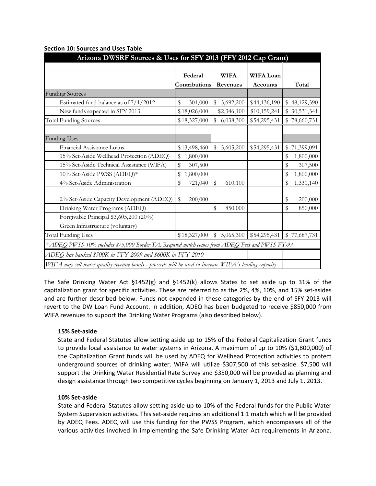|                                                                                                       | Arizona DWSRF Sources & Uses for SFY 2013 (FFY 2012 Cap Grant) |                 |                  |                  |  |  |  |  |  |  |
|-------------------------------------------------------------------------------------------------------|----------------------------------------------------------------|-----------------|------------------|------------------|--|--|--|--|--|--|
|                                                                                                       |                                                                |                 |                  |                  |  |  |  |  |  |  |
|                                                                                                       | Federal                                                        | <b>WIFA</b>     | <b>WIFA Loan</b> |                  |  |  |  |  |  |  |
|                                                                                                       | Contributions                                                  | Revenues        | <b>Accounts</b>  | Total            |  |  |  |  |  |  |
| <b>Funding Sources</b>                                                                                |                                                                |                 |                  |                  |  |  |  |  |  |  |
| Estimated fund balance as of $7/1/2012$                                                               | \$<br>301,000                                                  | \$<br>3,692,200 | \$44,136,190     | \$48,129,390     |  |  |  |  |  |  |
| New funds expected in SFY 2013                                                                        | \$18,026,000                                                   | \$2,346,100     | \$10,159,241     | 30,531,341<br>\$ |  |  |  |  |  |  |
| <b>Total Funding Sources</b>                                                                          | \$18,327,000                                                   | \$<br>6,038,300 | \$54,295,431     | \$78,660,731     |  |  |  |  |  |  |
|                                                                                                       |                                                                |                 |                  |                  |  |  |  |  |  |  |
| <b>Funding Uses</b>                                                                                   |                                                                |                 |                  |                  |  |  |  |  |  |  |
| Financial Assistance Loans                                                                            | \$13,498,460                                                   | \$<br>3,605,200 | \$54,295,431     | 71,399,091<br>\$ |  |  |  |  |  |  |
| 15% Set-Aside Wellhead Protection (ADEQ)                                                              | \$<br>1,800,000                                                |                 |                  | \$<br>1,800,000  |  |  |  |  |  |  |
| 15% Set-Aside Technical Assistance (WIFA)                                                             | \$<br>307,500                                                  |                 |                  | \$<br>307,500    |  |  |  |  |  |  |
| 10% Set-Aside PWSS (ADEQ)*                                                                            | \$<br>1,800,000                                                |                 |                  | \$<br>1,800,000  |  |  |  |  |  |  |
| 4% Set-Aside Administration                                                                           | \$<br>721,040                                                  | \$<br>610,100   |                  | \$<br>1,331,140  |  |  |  |  |  |  |
|                                                                                                       |                                                                |                 |                  |                  |  |  |  |  |  |  |
| 2% Set-Aside Capacity Development (ADEQ)                                                              | \$<br>200,000                                                  |                 |                  | \$<br>200,000    |  |  |  |  |  |  |
| Drinking Water Programs (ADEQ)                                                                        |                                                                | \$<br>850,000   |                  | \$<br>850,000    |  |  |  |  |  |  |
| Forgivable Principal \$3,605,200 (20%)                                                                |                                                                |                 |                  |                  |  |  |  |  |  |  |
| Green Infrastructure (voluntary)                                                                      |                                                                |                 |                  |                  |  |  |  |  |  |  |
| <b>Total Funding Uses</b>                                                                             | \$18,327,000                                                   | 5,065,300<br>\$ | \$54,295,431     | \$77,687,731     |  |  |  |  |  |  |
| * ADEQ PWSS 10% includes \$75,000 Border TA. Required match comes from ADEQ Fees and PWSS FY-93       |                                                                |                 |                  |                  |  |  |  |  |  |  |
| ADEQ has banked \$500K in FFY 2009 and \$600K in FFY 2010                                             |                                                                |                 |                  |                  |  |  |  |  |  |  |
| WIFA may sell water quality revenue bonds - proceeds will be used to increase WIFA's lending capacity |                                                                |                 |                  |                  |  |  |  |  |  |  |

#### **Section 10: Sources and Uses Table**

The Safe Drinking Water Act §1452(g) and §1452(k) allows States to set aside up to 31% of the capitalization grant for specific activities. These are referred to as the 2%, 4%, 10%, and 15% set‐asides and are further described below. Funds not expended in these categories by the end of SFY 2013 will revert to the DW Loan Fund Account. In addition, ADEQ has been budgeted to receive \$850,000 from WIFA revenues to support the Drinking Water Programs (also described below).

#### **15% Set‐aside**

State and Federal Statutes allow setting aside up to 15% of the Federal Capitalization Grant funds to provide local assistance to water systems in Arizona. A maximum of up to 10% (\$1,800,000) of the Capitalization Grant funds will be used by ADEQ for Wellhead Protection activities to protect underground sources of drinking water. WIFA will utilize \$307,500 of this set-aside. \$7,500 will support the Drinking Water Residential Rate Survey and \$350,000 will be provided as planning and design assistance through two competitive cycles beginning on January 1, 2013 and July 1, 2013.

#### **10% Set‐aside**

State and Federal Statutes allow setting aside up to 10% of the Federal funds for the Public Water System Supervision activities. This set‐aside requires an additional 1:1 match which will be provided by ADEQ Fees. ADEQ will use this funding for the PWSS Program, which encompasses all of the various activities involved in implementing the Safe Drinking Water Act requirements in Arizona.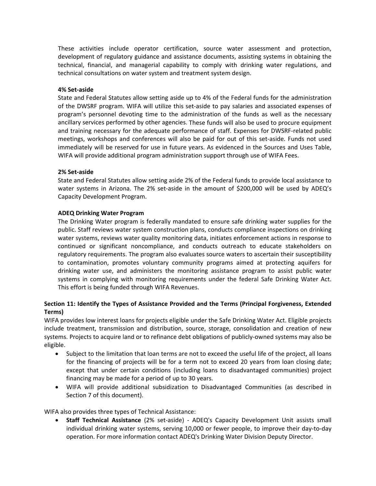These activities include operator certification, source water assessment and protection, development of regulatory guidance and assistance documents, assisting systems in obtaining the technical, financial, and managerial capability to comply with drinking water regulations, and technical consultations on water system and treatment system design.

#### **4% Set‐aside**

State and Federal Statutes allow setting aside up to 4% of the Federal funds for the administration of the DWSRF program. WIFA will utilize this set‐aside to pay salaries and associated expenses of program's personnel devoting time to the administration of the funds as well as the necessary ancillary services performed by other agencies. These funds will also be used to procure equipment and training necessary for the adequate performance of staff. Expenses for DWSRF‐related public meetings, workshops and conferences will also be paid for out of this set‐aside. Funds not used immediately will be reserved for use in future years. As evidenced in the Sources and Uses Table, WIFA will provide additional program administration support through use of WIFA Fees.

#### **2% Set‐aside**

State and Federal Statutes allow setting aside 2% of the Federal funds to provide local assistance to water systems in Arizona. The 2% set-aside in the amount of \$200,000 will be used by ADEQ's Capacity Development Program.

#### **ADEQ Drinking Water Program**

The Drinking Water program is federally mandated to ensure safe drinking water supplies for the public. Staff reviews water system construction plans, conducts compliance inspections on drinking water systems, reviews water quality monitoring data, initiates enforcement actions in response to continued or significant noncompliance, and conducts outreach to educate stakeholders on regulatory requirements. The program also evaluates source waters to ascertain their susceptibility to contamination, promotes voluntary community programs aimed at protecting aquifers for drinking water use, and administers the monitoring assistance program to assist public water systems in complying with monitoring requirements under the federal Safe Drinking Water Act. This effort is being funded through WIFA Revenues.

#### **Section 11: Identify the Types of Assistance Provided and the Terms (Principal Forgiveness, Extended Terms)**

WIFA provides low interest loans for projects eligible under the Safe Drinking Water Act. Eligible projects include treatment, transmission and distribution, source, storage, consolidation and creation of new systems. Projects to acquire land or to refinance debt obligations of publicly-owned systems may also be eligible.

- Subject to the limitation that loan terms are not to exceed the useful life of the project, all loans for the financing of projects will be for a term not to exceed 20 years from loan closing date; except that under certain conditions (including loans to disadvantaged communities) project financing may be made for a period of up to 30 years.
- WIFA will provide additional subsidization to Disadvantaged Communities (as described in Section 7 of this document).

WIFA also provides three types of Technical Assistance:

 **Staff Technical Assistance** (2% set‐aside) *‐*  ADEQ's Capacity Development Unit assists small individual drinking water systems, serving 10,000 or fewer people, to improve their day‐to‐day operation. For more information contact ADEQ's Drinking Water Division Deputy Director.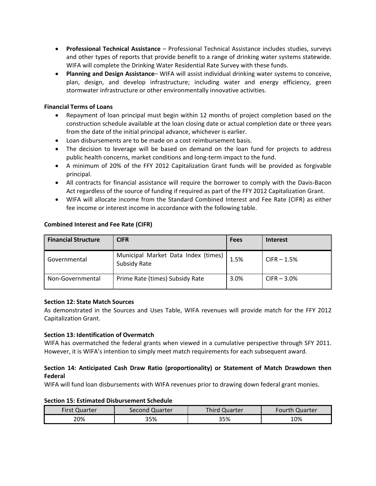- **Professional Technical Assistance** Professional Technical Assistance includes studies, surveys and other types of reports that provide benefit to a range of drinking water systems statewide. WIFA will complete the Drinking Water Residential Rate Survey with these funds.
- **Planning and Design Assistance** WIFA will assist individual drinking water systems to conceive, plan, design, and develop infrastructure; including water and energy efficiency, green stormwater infrastructure or other environmentally innovative activities.

#### **Financial Terms of Loans**

- Repayment of loan principal must begin within 12 months of project completion based on the construction schedule available at the loan closing date or actual completion date or three years from the date of the initial principal advance, whichever is earlier.
- Loan disbursements are to be made on a cost reimbursement basis.
- The decision to leverage will be based on demand on the loan fund for projects to address public health concerns, market conditions and long‐term impact to the fund.
- A minimum of 20% of the FFY 2012 Capitalization Grant funds will be provided as forgivable principal.
- All contracts for financial assistance will require the borrower to comply with the Davis‐Bacon Act regardless of the source of funding if required as part of the FFY 2012 Capitalization Grant.
- WIFA will allocate income from the Standard Combined Interest and Fee Rate (CIFR) as either fee income or interest income in accordance with the following table.

| <b>Financial Structure</b> | CIFR                                                       | <b>Fees</b> | <b>Interest</b> |
|----------------------------|------------------------------------------------------------|-------------|-----------------|
| Governmental               | Municipal Market Data Index (times)<br><b>Subsidy Rate</b> | 1.5%        | $CIFR - 1.5%$   |
| Non-Governmental           | Prime Rate (times) Subsidy Rate                            | 3.0%        | $CIFR - 3.0%$   |

#### **Combined Interest and Fee Rate (CIFR)**

#### **Section 12: State Match Sources**

As demonstrated in the Sources and Uses Table, WIFA revenues will provide match for the FFY 2012 Capitalization Grant.

#### **Section 13: Identification of Overmatch**

WIFA has overmatched the federal grants when viewed in a cumulative perspective through SFY 2011. However, it is WIFA's intention to simply meet match requirements for each subsequent award.

#### **Section 14: Anticipated Cash Draw Ratio (proportionality) or Statement of Match Drawdown then Federal**

WIFA will fund loan disbursements with WIFA revenues prior to drawing down federal grant monies.

#### **Section 15: Estimated Disbursement Schedule**

| First Quarter | Second Quarter | Third Quarter | Fourth Quarter |
|---------------|----------------|---------------|----------------|
| 20%           | 35%            | 35%           | 10%            |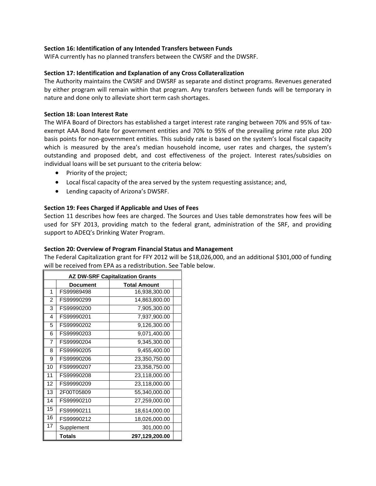#### **Section 16: Identification of any Intended Transfers between Funds**

WIFA currently has no planned transfers between the CWSRF and the DWSRF.

#### **Section 17: Identification and Explanation of any Cross Collateralization**

The Authority maintains the CWSRF and DWSRF as separate and distinct programs. Revenues generated by either program will remain within that program. Any transfers between funds will be temporary in nature and done only to alleviate short term cash shortages.

#### **Section 18: Loan Interest Rate**

The WIFA Board of Directors has established a target interest rate ranging between 70% and 95% of tax‐ exempt AAA Bond Rate for government entities and 70% to 95% of the prevailing prime rate plus 200 basis points for non‐government entities. This subsidy rate is based on the system's local fiscal capacity which is measured by the area's median household income, user rates and charges, the system's outstanding and proposed debt, and cost effectiveness of the project. Interest rates/subsidies on individual loans will be set pursuant to the criteria below:

- Priority of the project;
- Local fiscal capacity of the area served by the system requesting assistance; and,
- Lending capacity of Arizona's DWSRF.

#### **Section 19: Fees Charged if Applicable and Uses of Fees**

Section 11 describes how fees are charged. The Sources and Uses table demonstrates how fees will be used for SFY 2013, providing match to the federal grant, administration of the SRF, and providing support to ADEQ's Drinking Water Program.

#### **Section 20: Overview of Program Financial Status and Management**

The Federal Capitalization grant for FFY 2012 will be \$18,026,000, and an additional \$301,000 of funding will be received from EPA as a redistribution. See Table below.

|    | <b>AZ DW-SRF Capitalization Grants</b> |                     |  |  |  |  |  |  |  |
|----|----------------------------------------|---------------------|--|--|--|--|--|--|--|
|    | <b>Document</b>                        | <b>Total Amount</b> |  |  |  |  |  |  |  |
| 1  | FS99989498                             | 16,938,300.00       |  |  |  |  |  |  |  |
| 2  | FS99990299                             | 14,863,800.00       |  |  |  |  |  |  |  |
| 3  | FS99990200                             | 7,905,300.00        |  |  |  |  |  |  |  |
| 4  | FS99990201                             | 7,937,900.00        |  |  |  |  |  |  |  |
| 5  | FS99990202                             | 9,126,300.00        |  |  |  |  |  |  |  |
| 6  | FS99990203                             | 9,071,400.00        |  |  |  |  |  |  |  |
| 7  | FS99990204                             | 9,345,300.00        |  |  |  |  |  |  |  |
| 8  | FS99990205                             | 9,455,400.00        |  |  |  |  |  |  |  |
| 9  | FS99990206                             | 23,350,750.00       |  |  |  |  |  |  |  |
| 10 | FS99990207                             | 23,358,750.00       |  |  |  |  |  |  |  |
| 11 | FS99990208                             | 23,118,000.00       |  |  |  |  |  |  |  |
| 12 | FS99990209                             | 23,118,000.00       |  |  |  |  |  |  |  |
| 13 | 2F00T05809                             | 55,340,000.00       |  |  |  |  |  |  |  |
| 14 | FS99990210                             | 27,259,000.00       |  |  |  |  |  |  |  |
| 15 | FS99990211                             | 18,614,000.00       |  |  |  |  |  |  |  |
| 16 | FS99990212                             | 18,026,000.00       |  |  |  |  |  |  |  |
| 17 | Supplement                             | 301,000.00          |  |  |  |  |  |  |  |
|    | <b>Totals</b>                          | 297,129,200.00      |  |  |  |  |  |  |  |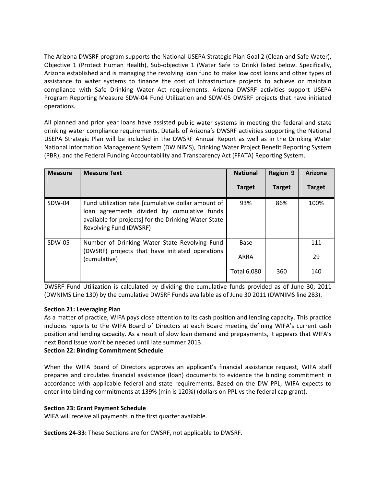The Arizona DWSRF program supports the National USEPA Strategic Plan Goal 2 (Clean and Safe Water), Objective 1 (Protect Human Health), Sub‐objective 1 (Water Safe to Drink) listed below. Specifically, Arizona established and is managing the revolving loan fund to make low cost loans and other types of assistance to water systems to finance the cost of infrastructure projects to achieve or maintain compliance with Safe Drinking Water Act requirements. Arizona DWSRF activities support USEPA Program Reporting Measure SDW‐04 Fund Utilization and SDW‐05 DWSRF projects that have initiated operations.

All planned and prior year loans have assisted public water systems in meeting the federal and state drinking water compliance requirements. Details of Arizona's DWSRF activities supporting the National USEPA Strategic Plan will be included in the DWSRF Annual Report as well as in the Drinking Water National Information Management System (DW NIMS), Drinking Water Project Benefit Reporting System (PBR); and the Federal Funding Accountability and Transparency Act (FFATA) Reporting System.

| <b>Measure</b> | <b>Measure Text</b>                                                                                                                                                                 | <b>National</b>    | <b>Region 9</b> | Arizona       |
|----------------|-------------------------------------------------------------------------------------------------------------------------------------------------------------------------------------|--------------------|-----------------|---------------|
|                |                                                                                                                                                                                     | <b>Target</b>      | <b>Target</b>   | <b>Target</b> |
| SDW-04         | Fund utilization rate [cumulative dollar amount of<br>loan agreements divided by cumulative funds<br>available for projects] for the Drinking Water State<br>Revolving Fund (DWSRF) | 93%                | 86%             | 100%          |
| SDW-05         | Number of Drinking Water State Revolving Fund<br>(DWSRF) projects that have initiated operations                                                                                    | Base               |                 | 111           |
|                | (cumulative)                                                                                                                                                                        | ARRA               |                 | 29            |
|                |                                                                                                                                                                                     | <b>Total 6,080</b> | 360             | 140           |

DWSRF Fund Utilization is calculated by dividing the cumulative funds provided as of June 30, 2011 (DWNIMS Line 130) by the cumulative DWSRF Funds available as of June 30 2011 (DWNIMS line 283).

#### **Section 21: Leveraging Plan**

As a matter of practice, WIFA pays close attention to its cash position and lending capacity. This practice includes reports to the WIFA Board of Directors at each Board meeting defining WIFA's current cash position and lending capacity. As a result of slow loan demand and prepayments, it appears that WIFA's next Bond Issue won't be needed until late summer 2013.

#### **Section 22: Binding Commitment Schedule**

When the WIFA Board of Directors approves an applicant's financial assistance request, WIFA staff prepares and circulates financial assistance (loan) documents to evidence the binding commitment in accordance with applicable federal and state requirements**.** Based on the DW PPL, WIFA expects to enter into binding commitments at 139% (min is 120%) (dollars on PPL vs the federal cap grant).

#### **Section 23: Grant Payment Schedule**

WIFA will receive all payments in the first quarter available.

**Sections 24‐33:** These Sections are for CWSRF, not applicable to DWSRF.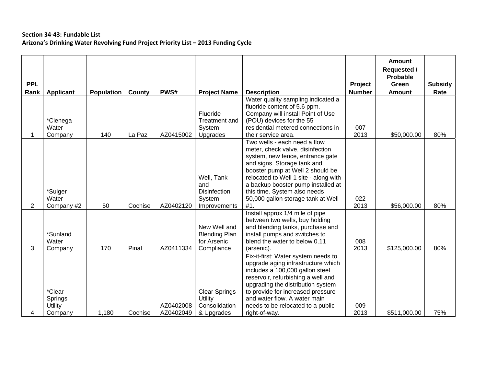#### **Section 34‐43: Fundable List Arizona's Drinking Water Revolving Fund Project Priority List – 2013 Funding Cycle**

|            |                                                |                   |         |                        |                                                                       |                                                                                                                                                                                                                                                                                                                                             |               | <b>Amount</b><br><b>Requested /</b><br>Probable |                |
|------------|------------------------------------------------|-------------------|---------|------------------------|-----------------------------------------------------------------------|---------------------------------------------------------------------------------------------------------------------------------------------------------------------------------------------------------------------------------------------------------------------------------------------------------------------------------------------|---------------|-------------------------------------------------|----------------|
| <b>PPL</b> |                                                |                   |         |                        |                                                                       |                                                                                                                                                                                                                                                                                                                                             | Project       | Green                                           | <b>Subsidy</b> |
| Rank       | <b>Applicant</b>                               | <b>Population</b> | County  | PWS#                   | <b>Project Name</b>                                                   | <b>Description</b>                                                                                                                                                                                                                                                                                                                          | <b>Number</b> | <b>Amount</b>                                   | Rate           |
|            | *Cienega<br>Water<br>Company                   | 140               | La Paz  | AZ0415002              | Fluoride<br><b>Treatment and</b><br>System<br>Upgrades                | Water quality sampling indicated a<br>fluoride content of 5.6 ppm.<br>Company will install Point of Use<br>(POU) devices for the 55<br>residential metered connections in<br>their service area.                                                                                                                                            | 007<br>2013   | \$50,000.00                                     | 80%            |
| 2          | *Sulger<br>Water<br>Company #2                 | 50                | Cochise | AZ0402120              | Well, Tank<br>and<br><b>Disinfection</b><br>System<br>Improvements    | Two wells - each need a flow<br>meter, check valve, disinfection<br>system, new fence, entrance gate<br>and signs. Storage tank and<br>booster pump at Well 2 should be<br>relocated to Well 1 site - along with<br>a backup booster pump installed at<br>this time. System also needs<br>50,000 gallon storage tank at Well<br>#1.         | 022<br>2013   | \$56,000.00                                     | 80%            |
| 3          | *Sunland<br>Water<br>Company                   | 170               | Pinal   | AZ0411334              | New Well and<br><b>Blending Plan</b><br>for Arsenic<br>Compliance     | Install approx 1/4 mile of pipe<br>between two wells, buy holding<br>and blending tanks, purchase and<br>install pumps and switches to<br>blend the water to below 0.11<br>(arsenic).<br>Fix-it-first: Water system needs to<br>upgrade aging infrastructure which<br>includes a 100,000 gallon steel<br>reservoir, refurbishing a well and | 008<br>2013   | \$125,000.00                                    | 80%            |
| 4          | *Clear<br>Springs<br><b>Utility</b><br>Company | 1,180             | Cochise | AZ0402008<br>AZ0402049 | <b>Clear Springs</b><br><b>Utility</b><br>Consolidation<br>& Upgrades | upgrading the distribution system<br>to provide for increased pressure<br>and water flow. A water main<br>needs to be relocated to a public<br>right-of-way.                                                                                                                                                                                | 009<br>2013   | \$511,000.00                                    | 75%            |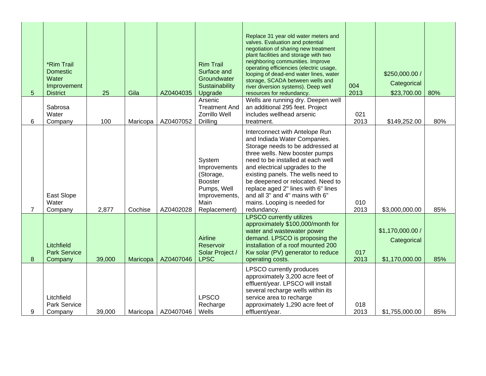| 5 | *Rim Trail<br><b>Domestic</b><br>Water<br>Improvement<br><b>District</b> | 25     | Gila     | AZ0404035 | <b>Rim Trail</b><br>Surface and<br>Groundwater<br>Sustainability<br>Upgrade                                   | Replace 31 year old water meters and<br>valves. Evaluation and potential<br>negotiation of sharing new treatment<br>plant facilities and storage with two<br>neighboring communities. Improve<br>operating efficiencies (electric usage,<br>looping of dead-end water lines, water<br>storage, SCADA between wells and<br>river diversion systems). Deep well<br>resources for redundancy.                      | 004<br>2013 | \$250,000.00 /<br>Categorical<br>\$23,700.00      | 80% |
|---|--------------------------------------------------------------------------|--------|----------|-----------|---------------------------------------------------------------------------------------------------------------|-----------------------------------------------------------------------------------------------------------------------------------------------------------------------------------------------------------------------------------------------------------------------------------------------------------------------------------------------------------------------------------------------------------------|-------------|---------------------------------------------------|-----|
|   | Sabrosa                                                                  |        |          |           | Arsenic<br><b>Treatment And</b>                                                                               | Wells are running dry. Deepen well<br>an additional 295 feet. Project                                                                                                                                                                                                                                                                                                                                           |             |                                                   |     |
| 6 | Water<br>Company                                                         | 100    | Maricopa | AZ0407052 | Zorrillo Well<br><b>Drilling</b>                                                                              | includes wellhead arsenic<br>treatment.                                                                                                                                                                                                                                                                                                                                                                         | 021<br>2013 | \$149,252.00                                      | 80% |
| 7 | East Slope<br>Water<br>Company                                           | 2,877  | Cochise  | AZ0402028 | System<br>Improvements<br>(Storage,<br><b>Booster</b><br>Pumps, Well<br>Improvements,<br>Main<br>Replacement) | Interconnect with Antelope Run<br>and Indiada Water Companies.<br>Storage needs to be addressed at<br>three wells. New booster pumps<br>need to be installed at each well<br>and electrical upgrades to the<br>existing panels. The wells need to<br>be deepened or relocated. Need to<br>replace aged 2" lines with 6" lines<br>and all 3" and 4" mains with 6"<br>mains. Looping is needed for<br>redundancy. | 010<br>2013 | \$3,000,000.00                                    | 85% |
| 8 | Litchfield<br><b>Park Service</b><br>Company                             | 39,000 | Maricopa | AZ0407046 | Airline<br>Reservoir<br>Solar Project /<br><b>LPSC</b>                                                        | <b>LPSCO currently utilizes</b><br>approximately \$100,000/month for<br>water and wastewater power<br>demand. LPSCO is proposing the<br>installation of a roof mounted 200<br>Kw solar (PV) generator to reduce<br>operating costs.                                                                                                                                                                             | 017<br>2013 | \$1,170,000.00 /<br>Categorical<br>\$1,170,000.00 | 85% |
| 9 | Litchfield<br><b>Park Service</b><br>Company                             | 39,000 | Maricopa | AZ0407046 | <b>LPSCO</b><br>Recharge<br>Wells                                                                             | <b>LPSCO</b> currently produces<br>approximately 3,200 acre feet of<br>effluent/year. LPSCO will install<br>several recharge wells within its<br>service area to recharge<br>approximately 1,290 acre feet of<br>effluent/year.                                                                                                                                                                                 | 018<br>2013 | \$1,755,000.00                                    | 85% |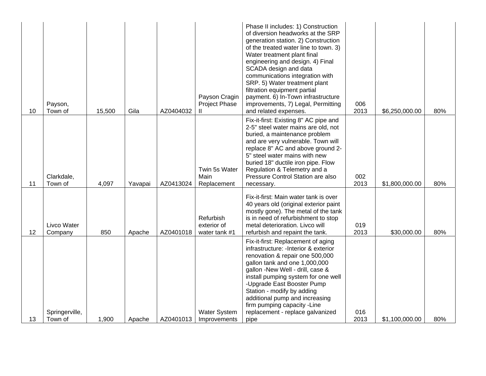| 10 | Payson,<br>Town of        | 15,500 | Gila    | AZ0404032 | Payson Cragin<br>Project Phase<br>Ш.      | Phase II includes: 1) Construction<br>of diversion headworks at the SRP<br>generation station. 2) Construction<br>of the treated water line to town. 3)<br>Water treatment plant final<br>engineering and design. 4) Final<br>SCADA design and data<br>communications integration with<br>SRP. 5) Water treatment plant<br>filtration equipment partial<br>payment. 6) In-Town infrastructure<br>improvements, 7) Legal, Permitting<br>and related expenses. | 006<br>2013 | \$6,250,000.00 | 80% |
|----|---------------------------|--------|---------|-----------|-------------------------------------------|--------------------------------------------------------------------------------------------------------------------------------------------------------------------------------------------------------------------------------------------------------------------------------------------------------------------------------------------------------------------------------------------------------------------------------------------------------------|-------------|----------------|-----|
| 11 | Clarkdale,<br>Town of     | 4,097  | Yavapai | AZ0413024 | Twin 5s Water<br>Main<br>Replacement      | Fix-it-first: Existing 8" AC pipe and<br>2-5" steel water mains are old, not<br>buried, a maintenance problem<br>and are very vulnerable. Town will<br>replace 8" AC and above ground 2-<br>5" steel water mains with new<br>buried 18" ductile iron pipe. Flow<br>Regulation & Telemetry and a<br>Pressure Control Station are also<br>necessary.                                                                                                           | 002<br>2013 | \$1,800,000.00 | 80% |
| 12 | Livco Water<br>Company    | 850    | Apache  | AZ0401018 | Refurbish<br>exterior of<br>water tank #1 | Fix-it-first: Main water tank is over<br>40 years old (original exterior paint<br>mostly gone). The metal of the tank<br>is in need of refurbishment to stop<br>metal deterioration. Livco will<br>refurbish and repaint the tank.                                                                                                                                                                                                                           | 019<br>2013 | \$30,000.00    | 80% |
| 13 | Springerville,<br>Town of | 1,900  | Apache  | AZ0401013 | Water System<br>Improvements              | Fix-it-first: Replacement of aging<br>infrastructure: - Interior & exterior<br>renovation & repair one 500,000<br>gallon tank and one 1,000,000<br>gallon -New Well - drill, case &<br>install pumping system for one well<br>-Upgrade East Booster Pump<br>Station - modify by adding<br>additional pump and increasing<br>firm pumping capacity - Line<br>replacement - replace galvanized<br>pipe                                                         | 016<br>2013 | \$1,100,000.00 | 80% |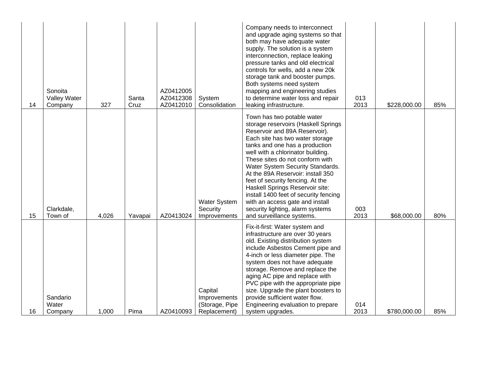| 14 | Sonoita<br>Valley Water<br>Company | 327   | Santa<br>Cruz | AZ0412005<br>AZ0412308<br>AZ0412010 | System<br>Consolidation                                   | Company needs to interconnect<br>and upgrade aging systems so that<br>both may have adequate water<br>supply. The solution is a system<br>interconnection, replace leaking<br>pressure tanks and old electrical<br>controls for wells, add a new 20k<br>storage tank and booster pumps.<br>Both systems need system<br>mapping and engineering studies<br>to determine water loss and repair<br>leaking infrastructure.                                                                                                                      | 013<br>2013 | \$228,000.00 | 85% |
|----|------------------------------------|-------|---------------|-------------------------------------|-----------------------------------------------------------|----------------------------------------------------------------------------------------------------------------------------------------------------------------------------------------------------------------------------------------------------------------------------------------------------------------------------------------------------------------------------------------------------------------------------------------------------------------------------------------------------------------------------------------------|-------------|--------------|-----|
| 15 | Clarkdale,<br>Town of              | 4,026 | Yavapai       | AZ0413024                           | <b>Water System</b><br>Security<br>Improvements           | Town has two potable water<br>storage reservoirs (Haskell Springs<br>Reservoir and 89A Reservoir).<br>Each site has two water storage<br>tanks and one has a production<br>well with a chlorinator building.<br>These sites do not conform with<br>Water System Security Standards.<br>At the 89A Reservoir: install 350<br>feet of security fencing. At the<br>Haskell Springs Reservoir site:<br>install 1400 feet of security fencing<br>with an access gate and install<br>security lighting, alarm systems<br>and surveillance systems. | 003<br>2013 | \$68,000.00  | 80% |
| 16 | Sandario<br>Water<br>Company       | 1,000 | Pima          | AZ0410093                           | Capital<br>Improvements<br>(Storage, Pipe<br>Replacement) | Fix-it-first: Water system and<br>infrastructure are over 30 years<br>old. Existing distribution system<br>include Asbestos Cement pipe and<br>4-inch or less diameter pipe. The<br>system does not have adequate<br>storage. Remove and replace the<br>aging AC pipe and replace with<br>PVC pipe with the appropriate pipe<br>size. Upgrade the plant boosters to<br>provide sufficient water flow.<br>Engineering evaluation to prepare<br>system upgrades.                                                                               | 014<br>2013 | \$780,000.00 | 85% |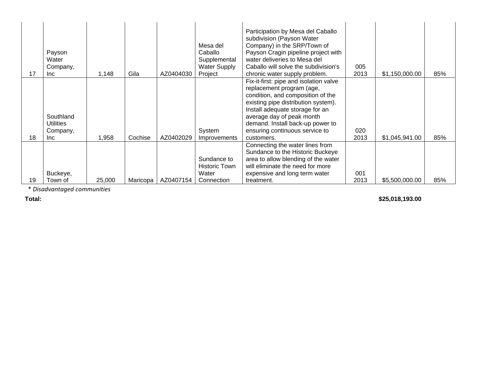| 17 | Payson<br>Water<br>Company,<br>Inc.        | 1,148  | Gila     | AZ0404030 | Mesa del<br>Caballo<br>Supplemental<br><b>Water Supply</b><br>Project | Participation by Mesa del Caballo<br>subdivision (Payson Water<br>Company) in the SRP/Town of<br>Payson Cragin pipeline project with<br>water deliveries to Mesa del<br>Caballo will solve the subdivision's<br>chronic water supply problem.                                                       | 005<br>2013 | \$1,150,000.00 | 85% |
|----|--------------------------------------------|--------|----------|-----------|-----------------------------------------------------------------------|-----------------------------------------------------------------------------------------------------------------------------------------------------------------------------------------------------------------------------------------------------------------------------------------------------|-------------|----------------|-----|
| 18 | Southland<br>Utilities<br>Company,<br>Inc. | 1,958  | Cochise  | AZ0402029 | System<br>Improvements                                                | Fix-it-first: pipe and isolation valve<br>replacement program (age,<br>condition, and composition of the<br>existing pipe distribution system).<br>Install adequate storage for an<br>average day of peak month<br>demand. Install back-up power to<br>ensuring continuous service to<br>customers. | 020<br>2013 | \$1,045,941.00 | 85% |
| 19 | Buckeye,<br>Town of                        | 25,000 | Maricopa | AZ0407154 | Sundance to<br><b>Historic Town</b><br>Water<br>Connection            | Connecting the water lines from<br>Sundance to the Historic Buckeye<br>area to allow blending of the water<br>will eliminate the need for more<br>expensive and long term water<br>treatment.                                                                                                       | 001<br>2013 | \$5,500,000.00 | 85% |

\* *Disadvantaged communities*

### **Total: \$25,018,193.00**